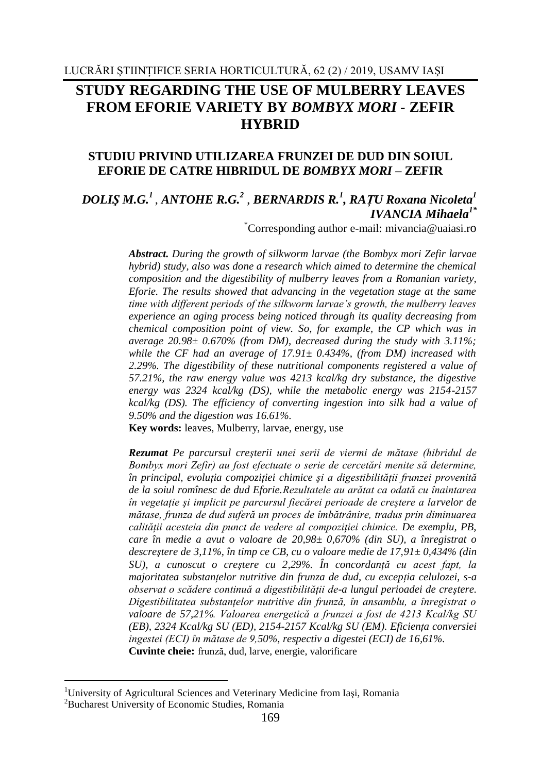# **STUDY REGARDING THE USE OF MULBERRY LEAVES FROM EFORIE VARIETY BY** *BOMBYX MORI -* **ZEFIR HYBRID**

### **STUDIU PRIVIND UTILIZAREA FRUNZEI DE DUD DIN SOIUL EFORIE DE CATRE HIBRIDUL DE** *BOMBYX MORI* **– ZEFIR**

### *DOLIŞ M.G. 1* , *ANTOHE R.G.<sup>2</sup>* , *BERNARDIS R.<sup>1</sup> , RAŢU Roxana Nicoleta<sup>1</sup> IVANCIA Mihaela1\**

\*Corresponding author e-mail: mivancia@uaiasi.ro

*Abstract. During the growth of silkworm larvae (the Bombyx mori Zefir larvae hybrid) study, also was done a research which aimed to determine the chemical composition and the digestibility of mulberry leaves from a Romanian variety, Eforie. The results showed that advancing in the vegetation stage at the same time with different periods of the silkworm larvae's growth, the mulberry leaves experience an aging process being noticed through its quality decreasing from chemical composition point of view. So, for example, the CP which was in average 20.98± 0.670% (from DM), decreased during the study with 3.11%; while the CF had an average of 17.91± 0.434%, (from DM) increased with 2.29%. The digestibility of these nutritional components registered a value of 57.21%, the raw energy value was 4213 kcal/kg dry substance, the digestive energy was 2324 kcal/kg (DS), while the metabolic energy was 2154-2157 kcal/kg (DS). The efficiency of converting ingestion into silk had a value of 9.50% and the digestion was 16.61%.*

**Key words:** leaves, Mulberry, larvae, energy, use

*Rezumat Pe parcursul creşterii unei serii de viermi de mătase (hibridul de Bombyx mori Zefir) au fost efectuate o serie de cercetări menite să determine, în principal, evolutia compozitiei chimice și a digestibilității frunzei provenită de la soiul romînesc de dud Eforie.Rezultatele au arătat ca odată cu înaintarea în vegetaţie şi implicit pe parcursul fiecărei perioade de creştere a larvelor de mătase, frunza de dud suferă un proces de îmbătrânire, tradus prin diminuarea calităţii acesteia din punct de vedere al compoziţiei chimice. De exemplu, PB, care în medie a avut o valoare de 20,98± 0,670% (din SU), a înregistrat o descreştere de 3,11%, în timp ce CB, cu o valoare medie de 17,91± 0,434% (din SU), a cunoscut o creştere cu 2,29%. În concordanţă cu acest fapt, la majoritatea substanţelor nutritive din frunza de dud, cu excepţia celulozei, s-a observat o scădere continuă a digestibilităţii de-a lungul perioadei de creştere. Digestibilitatea substanţelor nutritive din frunză, în ansamblu, a înregistrat o valoare de 57,21%. Valoarea energetică a frunzei a fost de 4213 Kcal/kg SU (EB), 2324 Kcal/kg SU (ED), 2154-2157 Kcal/kg SU (EM). Eficienţa conversiei ingestei (ECI) în mătase de 9,50%, respectiv a digestei (ECI) de 16,61%.* **Cuvinte cheie:** frunză, dud, larve, energie, valorificare

<u>.</u>

<sup>&</sup>lt;sup>1</sup>University of Agricultural Sciences and Veterinary Medicine from Iași, Romania

<sup>2</sup>Bucharest University of Economic Studies, Romania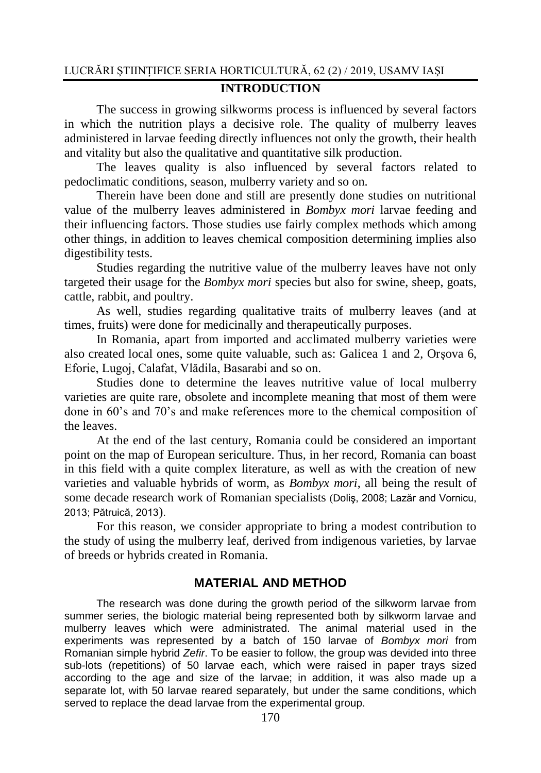### **INTRODUCTION**

The success in growing silkworms process is influenced by several factors in which the nutrition plays a decisive role. The quality of mulberry leaves administered in larvae feeding directly influences not only the growth, their health and vitality but also the qualitative and quantitative silk production.

The leaves quality is also influenced by several factors related to pedoclimatic conditions, season, mulberry variety and so on.

Therein have been done and still are presently done studies on nutritional value of the mulberry leaves administered in *Bombyx mori* larvae feeding and their influencing factors. Those studies use fairly complex methods which among other things, in addition to leaves chemical composition determining implies also digestibility tests.

Studies regarding the nutritive value of the mulberry leaves have not only targeted their usage for the *Bombyx mori* species but also for swine, sheep, goats, cattle, rabbit, and poultry.

As well, studies regarding qualitative traits of mulberry leaves (and at times, fruits) were done for medicinally and therapeutically purposes.

In Romania, apart from imported and acclimated mulberry varieties were also created local ones, some quite valuable, such as: Galicea 1 and 2, Orşova 6, Eforie, Lugoj, Calafat, Vlădila, Basarabi and so on.

Studies done to determine the leaves nutritive value of local mulberry varieties are quite rare, obsolete and incomplete meaning that most of them were done in 60's and 70's and make references more to the chemical composition of the leaves.

At the end of the last century, Romania could be considered an important point on the map of European sericulture. Thus, in her record, Romania can boast in this field with a quite complex literature, as well as with the creation of new varieties and valuable hybrids of worm, as *Bombyx mori*, all being the result of some decade research work of Romanian specialists (Doliş, 2008; Lazăr and Vornicu, 2013; Pătruică, 2013).

For this reason, we consider appropriate to bring a modest contribution to the study of using the mulberry leaf, derived from indigenous varieties, by larvae of breeds or hybrids created in Romania.

### **MATERIAL AND METHOD**

The research was done during the growth period of the silkworm larvae from summer series, the biologic material being represented both by silkworm larvae and mulberry leaves which were administrated. The animal material used in the experiments was represented by a batch of 150 larvae of *Bombyx mori* from Romanian simple hybrid *Zefir*. To be easier to follow, the group was devided into three sub-lots (repetitions) of 50 larvae each, which were raised in paper trays sized according to the age and size of the larvae; in addition, it was also made up a separate lot, with 50 larvae reared separately, but under the same conditions, which served to replace the dead larvae from the experimental group.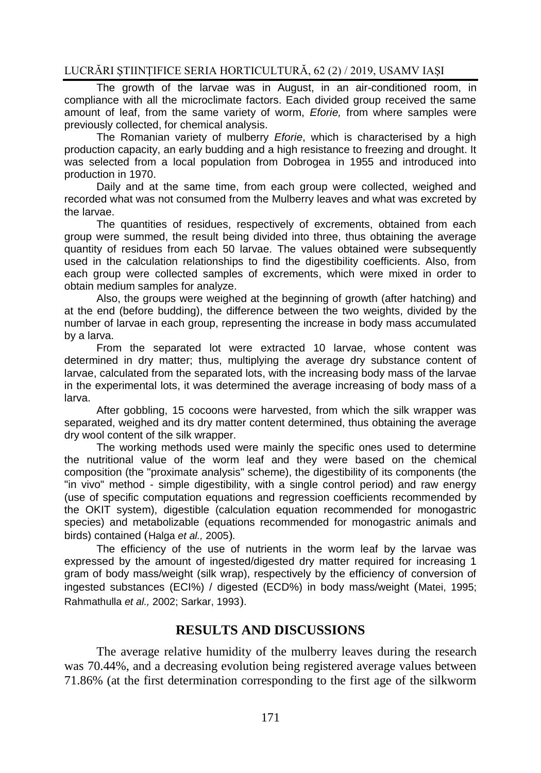The growth of the larvae was in August, in an air-conditioned room, in compliance with all the microclimate factors. Each divided group received the same amount of leaf, from the same variety of worm, *Eforie,* from where samples were previously collected, for chemical analysis.

The Romanian variety of mulberry *Eforie*, which is characterised by a high production capacity, an early budding and a high resistance to freezing and drought. It was selected from a local population from Dobrogea in 1955 and introduced into production in 1970.

Daily and at the same time, from each group were collected, weighed and recorded what was not consumed from the Mulberry leaves and what was excreted by the larvae.

The quantities of residues, respectively of excrements, obtained from each group were summed, the result being divided into three, thus obtaining the average quantity of residues from each 50 larvae. The values obtained were subsequently used in the calculation relationships to find the digestibility coefficients. Also, from each group were collected samples of excrements, which were mixed in order to obtain medium samples for analyze.

Also, the groups were weighed at the beginning of growth (after hatching) and at the end (before budding), the difference between the two weights, divided by the number of larvae in each group, representing the increase in body mass accumulated by a larva.

From the separated lot were extracted 10 larvae, whose content was determined in dry matter; thus, multiplying the average dry substance content of larvae, calculated from the separated lots, with the increasing body mass of the larvae in the experimental lots, it was determined the average increasing of body mass of a larva.

After gobbling, 15 cocoons were harvested, from which the silk wrapper was separated, weighed and its dry matter content determined, thus obtaining the average dry wool content of the silk wrapper.

The working methods used were mainly the specific ones used to determine the nutritional value of the worm leaf and they were based on the chemical composition (the "proximate analysis" scheme), the digestibility of its components (the "in vivo" method - simple digestibility, with a single control period) and raw energy (use of specific computation equations and regression coefficients recommended by the OKIT system), digestible (calculation equation recommended for monogastric species) and metabolizable (equations recommended for monogastric animals and birds) contained (Halga *et al.,* 2005)*.*

The efficiency of the use of nutrients in the worm leaf by the larvae was expressed by the amount of ingested/digested dry matter required for increasing 1 gram of body mass/weight (silk wrap), respectively by the efficiency of conversion of ingested substances (ECI%) / digested (ECD%) in body mass/weight (Matei, 1995; Rahmathulla *et al.,* 2002; Sarkar, 1993).

### **RESULTS AND DISCUSSIONS**

The average relative humidity of the mulberry leaves during the research was 70.44%, and a decreasing evolution being registered average values between 71.86% (at the first determination corresponding to the first age of the silkworm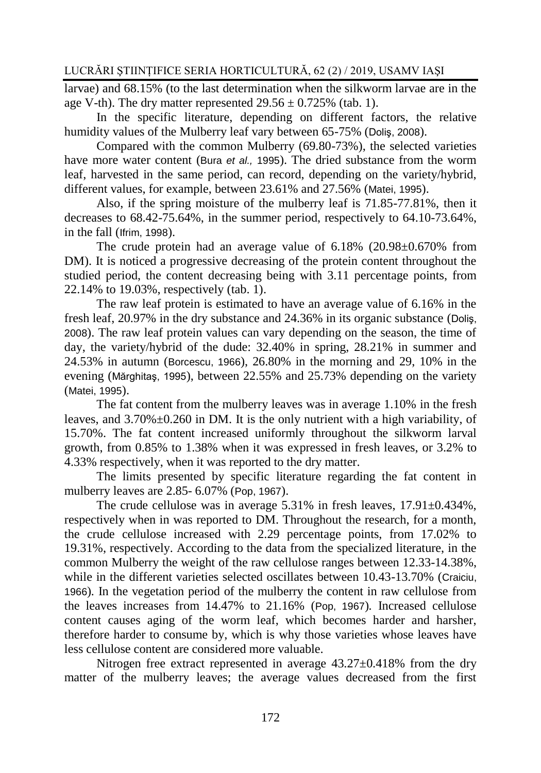larvae) and 68.15% (to the last determination when the silkworm larvae are in the age V-th). The dry matter represented  $29.56 \pm 0.725\%$  (tab. 1).

In the specific literature, depending on different factors, the relative humidity values of the Mulberry leaf vary between 65-75% (Doliş, 2008).

Compared with the common Mulberry (69.80-73%), the selected varieties have more water content (Bura *et al.,* 1995). The dried substance from the worm leaf, harvested in the same period, can record, depending on the variety/hybrid, different values, for example, between 23.61% and 27.56% (Matei, 1995).

Also, if the spring moisture of the mulberry leaf is 71.85-77.81%, then it decreases to 68.42-75.64%, in the summer period, respectively to 64.10-73.64%, in the fall (Ifrim, 1998).

The crude protein had an average value of 6.18% (20.98±0.670% from DM). It is noticed a progressive decreasing of the protein content throughout the studied period, the content decreasing being with 3.11 percentage points, from 22.14% to 19.03%, respectively (tab. 1).

The raw leaf protein is estimated to have an average value of 6.16% in the fresh leaf, 20.97% in the dry substance and 24.36% in its organic substance (Doliş, 2008). The raw leaf protein values can vary depending on the season, the time of day, the variety/hybrid of the dude: 32.40% in spring, 28.21% in summer and 24.53% in autumn (Borcescu, 1966), 26.80% in the morning and 29, 10% in the evening (Mărghitaş, 1995), between 22.55% and 25.73% depending on the variety (Matei, 1995).

The fat content from the mulberry leaves was in average 1.10% in the fresh leaves, and 3.70%±0.260 in DM. It is the only nutrient with a high variability, of 15.70%. The fat content increased uniformly throughout the silkworm larval growth, from 0.85% to 1.38% when it was expressed in fresh leaves, or 3.2% to 4.33% respectively, when it was reported to the dry matter.

The limits presented by specific literature regarding the fat content in mulberry leaves are 2.85- 6.07% (Pop, 1967).

The crude cellulose was in average 5.31% in fresh leaves, 17.91±0.434%, respectively when in was reported to DM. Throughout the research, for a month, the crude cellulose increased with 2.29 percentage points, from 17.02% to 19.31%, respectively. According to the data from the specialized literature, in the common Mulberry the weight of the raw cellulose ranges between 12.33-14.38%, while in the different varieties selected oscillates between 10.43-13.70% (Craiciu, 1966)*.* In the vegetation period of the mulberry the content in raw cellulose from the leaves increases from 14.47% to 21.16% (Pop, 1967)*.* Increased cellulose content causes aging of the worm leaf, which becomes harder and harsher, therefore harder to consume by, which is why those varieties whose leaves have less cellulose content are considered more valuable.

Nitrogen free extract represented in average 43.27±0.418% from the dry matter of the mulberry leaves; the average values decreased from the first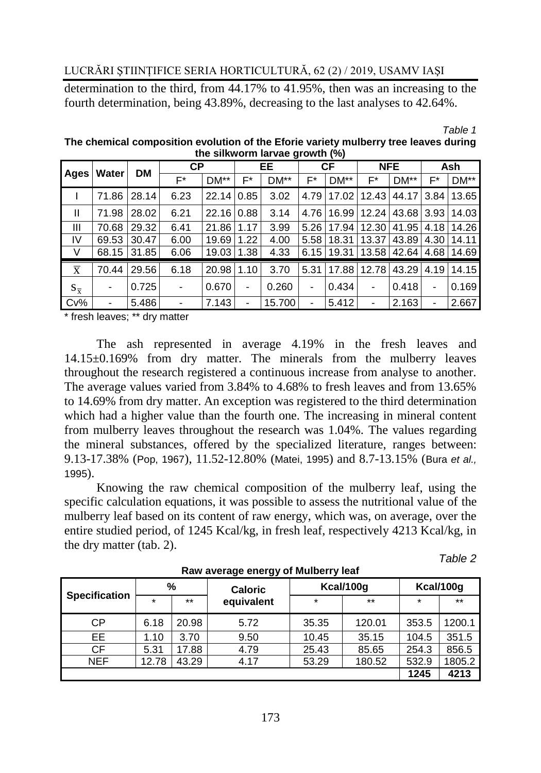determination to the third, from 44.17% to 41.95%, then was an increasing to the fourth determination, being 43.89%, decreasing to the last analyses to 42.64%.

|                         | Water | <b>DM</b> | <b>CP</b> |        |          | EE     |      | СF    |                          | <b>NFE</b>   |                          | Ash    |  |
|-------------------------|-------|-----------|-----------|--------|----------|--------|------|-------|--------------------------|--------------|--------------------------|--------|--|
| Ages                    |       |           | F*        | $DM**$ | F*       | DM**   | F*   | DM**  | F*                       | DM**         | F*                       | $DM**$ |  |
|                         | 71.86 | 28.14     | 6.23      | 22.14  | 0.85     | 3.02   | 4.79 | 17.02 | 12.43                    | 44.17        | 3.84                     | 13.65  |  |
| $\mathsf{I}$            | 71.98 | 28.02     | 6.21      | 22.16  | 0.88     | 3.14   | 4.76 | 16.99 | 12.24                    | 43.68 3.93   |                          | 14.03  |  |
| Ш                       | 70.68 | 29.32     | 6.41      | 21.86  | 1.17     | 3.99   | 5.26 | 17.94 | 12.30                    | 41.95        | 4.18                     | 14.26  |  |
| IV                      | 69.53 | 30.47     | 6.00      | 19.69  | .22<br>1 | 4.00   | 5.58 | 18.31 | 13.37                    | 43.89        | 4.30                     | 14.11  |  |
| V                       | 68.15 | 31.85     | 6.06      | 19.03  | 1.38     | 4.33   | 6.15 | 19.31 | 13.58                    | 42.64   4.68 |                          | 14.69  |  |
| $\overline{\mathbf{x}}$ | 70.44 | 29.56     | 6.18      | 20.98  | 1.10     | 3.70   | 5.31 | 17.88 | 12.78                    | 43.29        | 4.19                     | 14.15  |  |
| $S_{\overline{x}}$      |       | 0.725     | ۰         | 0.670  | -        | 0.260  | -    | 0.434 | $\overline{\phantom{a}}$ | 0.418        | $\overline{\phantom{a}}$ | 0.169  |  |
| $Cv\%$                  |       | 5.486     | -         | 7.143  |          | 15.700 |      | 5.412 |                          | 2.163        |                          | 2.667  |  |

**The chemical composition evolution of the Eforie variety mulberry tree leaves during the silkworm larvae growth (%)**

\* fresh leaves; \*\* dry matter

The ash represented in average 4.19% in the fresh leaves and 14.15±0.169% from dry matter. The minerals from the mulberry leaves throughout the research registered a continuous increase from analyse to another. The average values varied from 3.84% to 4.68% to fresh leaves and from 13.65% to 14.69% from dry matter. An exception was registered to the third determination which had a higher value than the fourth one. The increasing in mineral content from mulberry leaves throughout the research was 1.04%. The values regarding the mineral substances, offered by the specialized literature, ranges between: 9.13-17.38% (Pop, 1967), 11.52-12.80% (Matei, 1995) and 8.7-13.15% (Bura *et al.,* 1995).

Knowing the raw chemical composition of the mulberry leaf, using the specific calculation equations, it was possible to assess the nutritional value of the mulberry leaf based on its content of raw energy, which was, on average, over the entire studied period, of 1245 Kcal/kg, in fresh leaf, respectively 4213 Kcal/kg, in the dry matter (tab. 2).

| $1.411$ and ago only great mansuity four |         |       |                |         |           |           |        |  |  |
|------------------------------------------|---------|-------|----------------|---------|-----------|-----------|--------|--|--|
|                                          | %       |       | <b>Caloric</b> |         | Kcal/100g | Kcal/100q |        |  |  |
| <b>Specification</b>                     | $\star$ | $***$ | equivalent     | $\star$ | $***$     | $\star$   | $***$  |  |  |
| СP                                       | 6.18    | 20.98 | 5.72           | 35.35   | 120.01    | 353.5     | 1200.1 |  |  |
| <b>EE</b>                                | 1.10    | 3.70  | 9.50           | 10.45   | 35.15     | 104.5     | 351.5  |  |  |
| СF                                       | 5.31    | 17.88 | 4.79           | 25.43   | 85.65     | 254.3     | 856.5  |  |  |
| <b>NEF</b>                               | 12.78   | 43.29 | 4.17           | 53.29   | 180.52    | 532.9     | 1805.2 |  |  |
|                                          |         |       |                |         |           | 1245      | 4213   |  |  |

**Raw average energy of Mulberry leaf**

*Table 2*

*Table 1*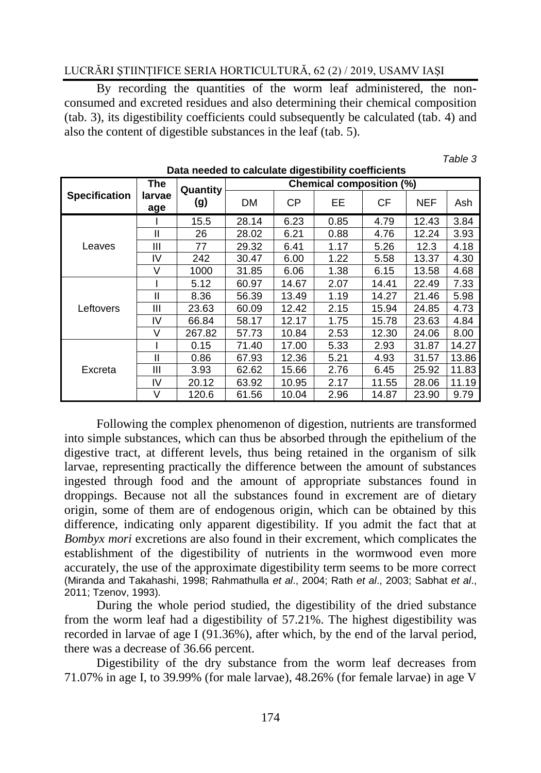By recording the quantities of the worm leaf administered, the nonconsumed and excreted residues and also determining their chemical composition (tab. 3), its digestibility coefficients could subsequently be calculated (tab. 4) and also the content of digestible substances in the leaf (tab. 5).

*Table 3*

|                      | The           | Quantity |           |           | Chemical composition (%) |           |                                                                                              |       |
|----------------------|---------------|----------|-----------|-----------|--------------------------|-----------|----------------------------------------------------------------------------------------------|-------|
| <b>Specification</b> | larvae<br>age | (g)      | <b>DM</b> | <b>CP</b> | <b>EE</b>                | <b>CF</b> | <b>NEF</b>                                                                                   | Ash   |
|                      |               | 15.5     | 28.14     | 6.23      | 0.85                     | 4.79      | 12.43                                                                                        | 3.84  |
|                      | $\mathbf{I}$  | 26       | 28.02     | 6.21      | 0.88                     | 4.76      | 12.24                                                                                        | 3.93  |
| Leaves               | Ш             | 77       | 29.32     | 6.41      | 1.17                     | 5.26      | 12.3                                                                                         | 4.18  |
|                      | IV            | 242      | 30.47     | 6.00      | 1.22                     | 5.58      | 13.37                                                                                        | 4.30  |
|                      | V             | 1000     | 31.85     | 6.06      | 1.38                     | 6.15      | 13.58                                                                                        | 4.68  |
|                      |               | 5.12     | 60.97     | 14.67     | 2.07                     | 14.41     | 22.49                                                                                        | 7.33  |
|                      | $\mathsf{II}$ | 8.36     | 56.39     | 13.49     | 1.19                     | 14.27     | 21.46                                                                                        | 5.98  |
| Leftovers            | Ш             | 23.63    | 60.09     | 12.42     | 2.15                     | 15.94     | 24.85                                                                                        | 4.73  |
|                      | IV            | 66.84    | 58.17     | 12.17     | 1.75                     | 15.78     | 23.63                                                                                        | 4.84  |
|                      | V             | 267.82   | 57.73     | 10.84     | 2.53                     | 12.30     | 24.06<br>2.93<br>31.87<br>31.57<br>4.93<br>25.92<br>6.45<br>28.06<br>11.55<br>14.87<br>23.90 | 8.00  |
|                      |               | 0.15     | 71.40     | 17.00     | 5.33                     |           |                                                                                              | 14.27 |
|                      | $\mathbf{I}$  | 0.86     | 67.93     | 12.36     | 5.21                     |           |                                                                                              | 13.86 |
| Excreta              | Ш             | 3.93     | 62.62     | 15.66     | 2.76                     |           |                                                                                              | 11.83 |
|                      | IV            | 20.12    | 63.92     | 10.95     | 2.17                     |           |                                                                                              | 11.19 |
|                      | V             | 120.6    | 61.56     | 10.04     | 2.96                     |           |                                                                                              | 9.79  |

#### **Data needed to calculate digestibility coefficients**

Following the complex phenomenon of digestion, nutrients are transformed into simple substances, which can thus be absorbed through the epithelium of the digestive tract, at different levels, thus being retained in the organism of silk larvae, representing practically the difference between the amount of substances ingested through food and the amount of appropriate substances found in droppings. Because not all the substances found in excrement are of dietary origin, some of them are of endogenous origin, which can be obtained by this difference, indicating only apparent digestibility. If you admit the fact that at *Bombyx mori* excretions are also found in their excrement, which complicates the establishment of the digestibility of nutrients in the wormwood even more accurately, the use of the approximate digestibility term seems to be more correct (Miranda and Takahashi, 1998; Rahmathulla *et al*., 2004; Rath *et al*., 2003; Sabhat *et al*., 2011; Tzenov, 1993)*.*

During the whole period studied, the digestibility of the dried substance from the worm leaf had a digestibility of 57.21%. The highest digestibility was recorded in larvae of age I (91.36%), after which, by the end of the larval period, there was a decrease of 36.66 percent.

Digestibility of the dry substance from the worm leaf decreases from 71.07% in age I, to 39.99% (for male larvae), 48.26% (for female larvae) in age V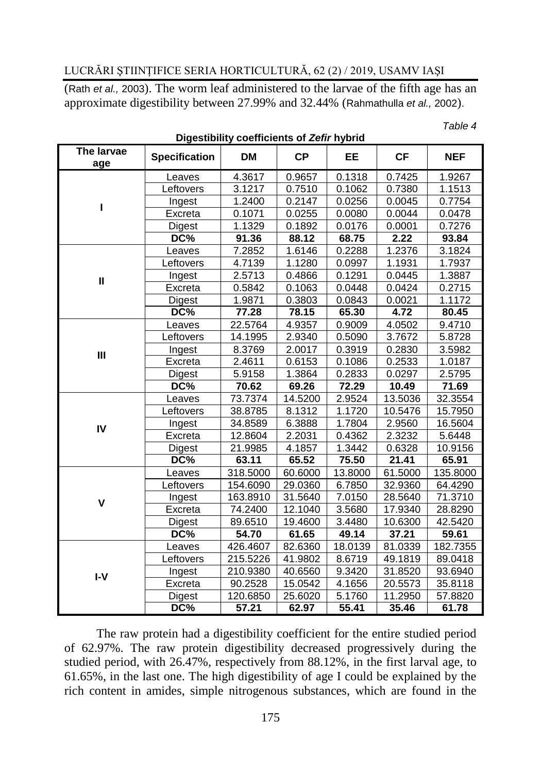(Rath *et al.,* 2003). The worm leaf administered to the larvae of the fifth age has an approximate digestibility between 27.99% and 32.44% (Rahmathulla *et al.,* 2002).

| The larvae<br>age | <b>Specification</b> | <b>DM</b> | <b>CP</b> | <b>EE</b> | <b>CF</b> | <b>NEF</b> |
|-------------------|----------------------|-----------|-----------|-----------|-----------|------------|
|                   | Leaves               | 4.3617    | 0.9657    | 0.1318    | 0.7425    | 1.9267     |
|                   | Leftovers            | 3.1217    | 0.7510    | 0.1062    | 0.7380    | 1.1513     |
| ı                 | Ingest               | 1.2400    | 0.2147    | 0.0256    | 0.0045    | 0.7754     |
|                   | Excreta              | 0.1071    | 0.0255    | 0.0080    | 0.0044    | 0.0478     |
|                   | Digest               | 1.1329    | 0.1892    | 0.0176    | 0.0001    | 0.7276     |
|                   | DC%                  | 91.36     | 88.12     | 68.75     | 2.22      | 93.84      |
|                   | Leaves               | 7.2852    | 1.6146    | 0.2288    | 1.2376    | 3.1824     |
|                   | Leftovers            | 4.7139    | 1.1280    | 0.0997    | 1.1931    | 1.7937     |
| $\mathbf{I}$      | Ingest               | 2.5713    | 0.4866    | 0.1291    | 0.0445    | 1.3887     |
|                   | Excreta              | 0.5842    | 0.1063    | 0.0448    | 0.0424    | 0.2715     |
|                   | Digest               | 1.9871    | 0.3803    | 0.0843    | 0.0021    | 1.1172     |
|                   | DC%                  | 77.28     | 78.15     | 65.30     | 4.72      | 80.45      |
|                   | Leaves               | 22.5764   | 4.9357    | 0.9009    | 4.0502    | 9.4710     |
|                   | Leftovers            | 14.1995   | 2.9340    | 0.5090    | 3.7672    | 5.8728     |
| Ш                 | Ingest               | 8.3769    | 2.0017    | 0.3919    | 0.2830    | 3.5982     |
|                   | Excreta              | 2.4611    | 0.6153    | 0.1086    | 0.2533    | 1.0187     |
|                   | <b>Digest</b>        | 5.9158    | 1.3864    | 0.2833    | 0.0297    | 2.5795     |
|                   | DC%                  | 70.62     | 69.26     | 72.29     | 10.49     | 71.69      |
|                   | Leaves               | 73.7374   | 14.5200   | 2.9524    | 13.5036   | 32.3554    |
|                   | Leftovers            | 38.8785   | 8.1312    | 1.1720    | 10.5476   | 15.7950    |
| IV                | Ingest               | 34.8589   | 6.3888    | 1.7804    | 2.9560    | 16.5604    |
|                   | Excreta              | 12.8604   | 2.2031    | 0.4362    | 2.3232    | 5.6448     |
|                   | Digest               | 21.9985   | 4.1857    | 1.3442    | 0.6328    | 10.9156    |
|                   | DC%                  | 63.11     | 65.52     | 75.50     | 21.41     | 65.91      |
|                   | Leaves               | 318.5000  | 60.6000   | 13.8000   | 61.5000   | 135.8000   |
|                   | Leftovers            | 154.6090  | 29.0360   | 6.7850    | 32.9360   | 64.4290    |
| $\mathbf v$       | Ingest               | 163.8910  | 31.5640   | 7.0150    | 28.5640   | 71.3710    |
|                   | Excreta              | 74.2400   | 12.1040   | 3.5680    | 17.9340   | 28.8290    |
|                   | Digest               | 89.6510   | 19.4600   | 3.4480    | 10.6300   | 42.5420    |
|                   | DC%                  | 54.70     | 61.65     | 49.14     | 37.21     | 59.61      |
|                   | Leaves               | 426.4607  | 82.6360   | 18.0139   | 81.0339   | 182.7355   |
|                   | Leftovers            | 215.5226  | 41.9802   | 8.6719    | 49.1819   | 89.0418    |
| I-V               | Ingest               | 210.9380  | 40.6560   | 9.3420    | 31.8520   | 93.6940    |
|                   | Excreta              | 90.2528   | 15.0542   | 4.1656    | 20.5573   | 35.8118    |
|                   | Digest               | 120.6850  | 25.6020   | 5.1760    | 11.2950   | 57.8820    |
|                   | DC%                  | 57.21     | 62.97     | 55.41     | 35.46     | 61.78      |

**Digestibility coefficients of** *Zefir* **hybrid**

*Table 4*

The raw protein had a digestibility coefficient for the entire studied period of 62.97%. The raw protein digestibility decreased progressively during the studied period, with 26.47%, respectively from 88.12%, in the first larval age, to 61.65%, in the last one. The high digestibility of age I could be explained by the rich content in amides, simple nitrogenous substances, which are found in the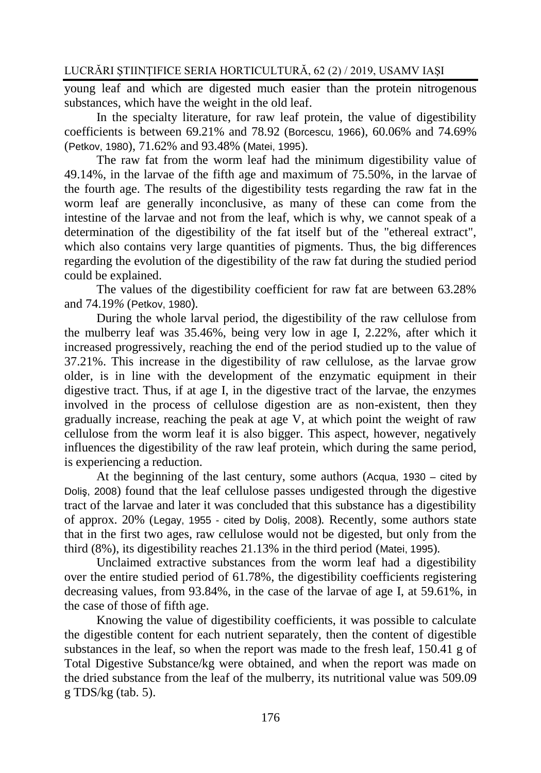young leaf and which are digested much easier than the protein nitrogenous substances, which have the weight in the old leaf.

In the specialty literature, for raw leaf protein, the value of digestibility coefficients is between 69.21% and 78.92 (Borcescu, 1966), 60.06% and 74.69% (Petkov, 1980), 71.62% and 93.48% (Matei, 1995).

The raw fat from the worm leaf had the minimum digestibility value of 49.14%, in the larvae of the fifth age and maximum of 75.50%, in the larvae of the fourth age. The results of the digestibility tests regarding the raw fat in the worm leaf are generally inconclusive, as many of these can come from the intestine of the larvae and not from the leaf, which is why, we cannot speak of a determination of the digestibility of the fat itself but of the "ethereal extract", which also contains very large quantities of pigments. Thus, the big differences regarding the evolution of the digestibility of the raw fat during the studied period could be explained.

The values of the digestibility coefficient for raw fat are between 63.28% and 74.19*%* (Petkov, 1980)*.*

During the whole larval period, the digestibility of the raw cellulose from the mulberry leaf was 35.46%, being very low in age I, 2.22%, after which it increased progressively, reaching the end of the period studied up to the value of 37.21%. This increase in the digestibility of raw cellulose, as the larvae grow older, is in line with the development of the enzymatic equipment in their digestive tract. Thus, if at age I, in the digestive tract of the larvae, the enzymes involved in the process of cellulose digestion are as non-existent, then they gradually increase, reaching the peak at age V, at which point the weight of raw cellulose from the worm leaf it is also bigger. This aspect, however, negatively influences the digestibility of the raw leaf protein, which during the same period, is experiencing a reduction.

At the beginning of the last century, some authors (Acqua, 1930 – cited by Doliş, 2008) found that the leaf cellulose passes undigested through the digestive tract of the larvae and later it was concluded that this substance has a digestibility of approx. 20% (Legay, 1955 - cited by Doliş, 2008)*.* Recently, some authors state that in the first two ages, raw cellulose would not be digested, but only from the third (8%), its digestibility reaches 21.13% in the third period (Matei, 1995)*.*

Unclaimed extractive substances from the worm leaf had a digestibility over the entire studied period of 61.78%, the digestibility coefficients registering decreasing values, from 93.84%, in the case of the larvae of age I, at 59.61%, in the case of those of fifth age.

Knowing the value of digestibility coefficients, it was possible to calculate the digestible content for each nutrient separately, then the content of digestible substances in the leaf, so when the report was made to the fresh leaf, 150.41 g of Total Digestive Substance/kg were obtained, and when the report was made on the dried substance from the leaf of the mulberry, its nutritional value was 509.09  $g$  TDS/ $kg$  (tab. 5).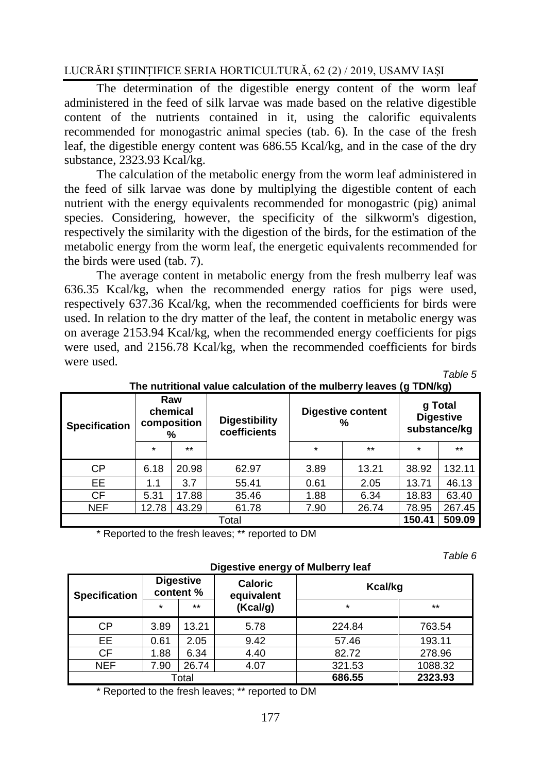The determination of the digestible energy content of the worm leaf administered in the feed of silk larvae was made based on the relative digestible content of the nutrients contained in it, using the calorific equivalents recommended for monogastric animal species (tab. 6). In the case of the fresh leaf, the digestible energy content was 686.55 Kcal/kg, and in the case of the dry substance, 2323.93 Kcal/kg.

The calculation of the metabolic energy from the worm leaf administered in the feed of silk larvae was done by multiplying the digestible content of each nutrient with the energy equivalents recommended for monogastric (pig) animal species. Considering, however, the specificity of the silkworm's digestion, respectively the similarity with the digestion of the birds, for the estimation of the metabolic energy from the worm leaf, the energetic equivalents recommended for the birds were used (tab. 7).

The average content in metabolic energy from the fresh mulberry leaf was 636.35 Kcal/kg, when the recommended energy ratios for pigs were used, respectively 637.36 Kcal/kg, when the recommended coefficients for birds were used. In relation to the dry matter of the leaf, the content in metabolic energy was on average 2153.94 Kcal/kg, when the recommended energy coefficients for pigs were used, and 2156.78 Kcal/kg, when the recommended coefficients for birds were used.

*Table 5*

| <b>Specification</b> | Raw<br>chemical<br>composition<br>% |       | <b>Digestibility</b><br>coefficients |         | <b>Digestive content</b><br>% | g Total<br><b>Digestive</b><br>substance/kg |        |
|----------------------|-------------------------------------|-------|--------------------------------------|---------|-------------------------------|---------------------------------------------|--------|
|                      | $\star$                             | $***$ |                                      | $\star$ | $*$                           | $\star$                                     | $***$  |
| СP                   | 6.18                                | 20.98 | 62.97                                | 3.89    | 13.21                         | 38.92                                       | 132.11 |
| EE.                  | 1.1                                 | 3.7   | 55.41                                | 0.61    | 2.05                          | 13.71                                       | 46.13  |
| CF                   | 5.31                                | 17.88 | 35.46                                | 1.88    | 6.34                          | 18.83                                       | 63.40  |
| <b>NEF</b>           | 12.78                               | 43.29 | 61.78                                | 7.90    | 26.74                         | 78.95                                       | 267.45 |
|                      |                                     |       | Total                                |         |                               | 150.41                                      | 509.09 |

**The nutritional value calculation of the mulberry leaves (g TDN/kg)**

\* Reported to the fresh leaves; \*\* reported to DM

*Table 6*

|                      |                               |       | Digestive energy of Mulberry lear |         |         |  |
|----------------------|-------------------------------|-------|-----------------------------------|---------|---------|--|
| <b>Specification</b> | <b>Digestive</b><br>content % |       | <b>Caloric</b><br>equivalent      | Kcal/kg |         |  |
|                      | $\star$                       | $***$ | (Kcal/g)                          | $\star$ | $***$   |  |
| СP                   | 3.89                          | 13.21 | 5.78                              | 224.84  | 763.54  |  |
| EE.                  | 0.61                          | 2.05  | 9.42                              | 57.46   | 193.11  |  |
| CF                   | 1.88                          | 6.34  | 4.40                              | 82.72   | 278.96  |  |
| <b>NEF</b>           | 7.90                          | 26.74 | 4.07                              | 321.53  | 1088.32 |  |
|                      |                               | Total |                                   | 686.55  | 2323.93 |  |

**Digestive energy of Mulberry leaf**

\* Reported to the fresh leaves; \*\* reported to DM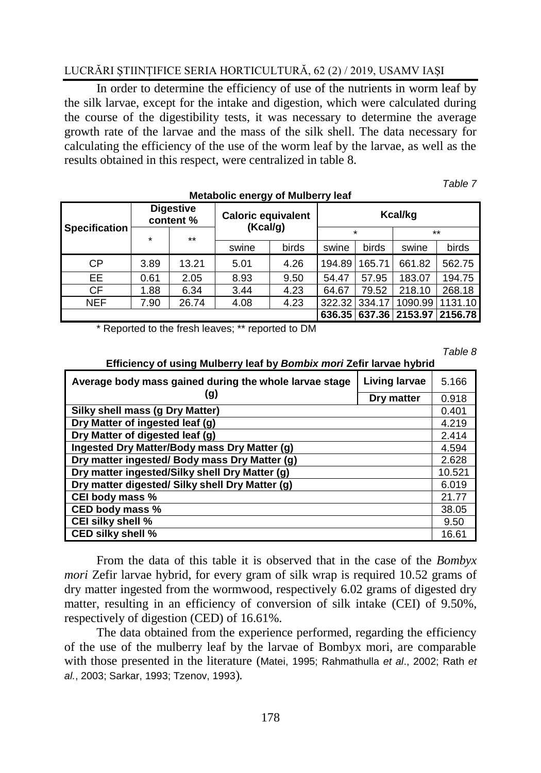In order to determine the efficiency of use of the nutrients in worm leaf by the silk larvae, except for the intake and digestion, which were calculated during the course of the digestibility tests, it was necessary to determine the average growth rate of the larvae and the mass of the silk shell. The data necessary for calculating the efficiency of the use of the worm leaf by the larvae, as well as the results obtained in this respect, were centralized in table 8.

*Table 7*

|                      | <b>Digestive</b><br>content % |       | <b>Caloric equivalent</b><br>(Kcal/q) |       | Kcal/kg |                  |                 |         |
|----------------------|-------------------------------|-------|---------------------------------------|-------|---------|------------------|-----------------|---------|
| <b>Specification</b> | $\star$                       | $***$ |                                       |       |         | $\star$<br>$***$ |                 |         |
|                      |                               |       | swine                                 | birds | swine   | birds            | swine           | birds   |
| СP                   | 3.89                          | 13.21 | 5.01                                  | 4.26  | 194.89  | 165.71           | 661.82          | 562.75  |
| EE.                  | 0.61                          | 2.05  | 8.93                                  | 9.50  | 54.47   | 57.95            | 183.07          | 194.75  |
| СF                   | 1.88                          | 6.34  | 3.44                                  | 4.23  | 64.67   | 79.52            | 218.10          | 268.18  |
| <b>NEF</b>           | 7.90                          | 26.74 | 4.08                                  | 4.23  | 322.32  | 334.17           | 1090.99         | 1131.10 |
|                      |                               |       |                                       |       | 636.35  | 637.36           | 2153.97 2156.78 |         |

#### **Metabolic energy of Mulberry leaf**

\* Reported to the fresh leaves; \*\* reported to DM

*Table 8*

|  | Efficiency of using Mulberry leaf by Bombix mori Zefir larvae hybrid |
|--|----------------------------------------------------------------------|
|  |                                                                      |

| Average body mass gained during the whole larvae stage | Living larvae | 5.166  |  |  |  |
|--------------------------------------------------------|---------------|--------|--|--|--|
| (g)                                                    | Dry matter    | 0.918  |  |  |  |
| Silky shell mass (g Dry Matter)                        |               | 0.401  |  |  |  |
| Dry Matter of ingested leaf (g)                        |               |        |  |  |  |
| Dry Matter of digested leaf (g)                        |               |        |  |  |  |
| Ingested Dry Matter/Body mass Dry Matter (g)           |               |        |  |  |  |
| Dry matter ingested/ Body mass Dry Matter (g)          |               |        |  |  |  |
| Dry matter ingested/Silky shell Dry Matter (g)         |               | 10.521 |  |  |  |
| Dry matter digested/ Silky shell Dry Matter (g)        |               | 6.019  |  |  |  |
| CEI body mass %                                        |               |        |  |  |  |
| CED body mass %                                        |               | 38.05  |  |  |  |
| <b>CEI silky shell %</b>                               |               | 9.50   |  |  |  |
| <b>CED silky shell %</b>                               |               | 16.61  |  |  |  |

From the data of this table it is observed that in the case of the *Bombyx mori* Zefir larvae hybrid, for every gram of silk wrap is required 10.52 grams of dry matter ingested from the wormwood, respectively 6.02 grams of digested dry matter, resulting in an efficiency of conversion of silk intake (CEI) of 9.50%, respectively of digestion (CED) of 16.61%.

The data obtained from the experience performed, regarding the efficiency of the use of the mulberry leaf by the larvae of Bombyx mori, are comparable with those presented in the literature (Matei, 1995; Rahmathulla *et al*., 2002; Rath *et al.*, 2003; Sarkar, 1993; Tzenov, 1993)*.*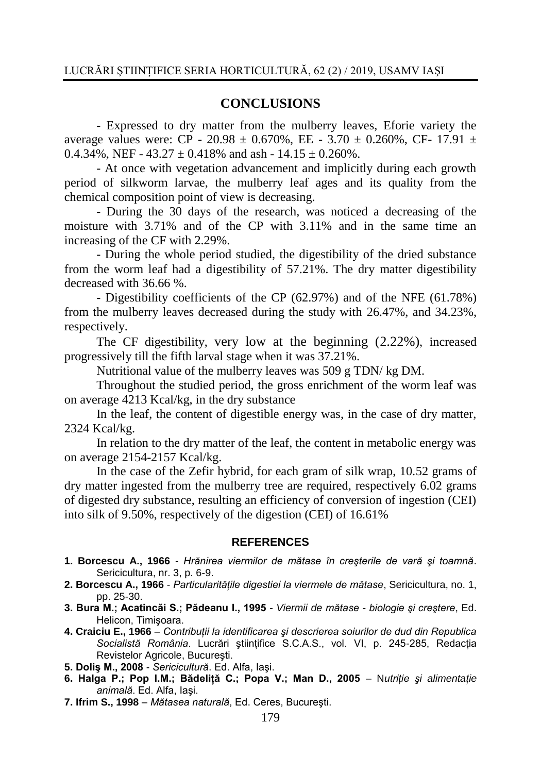### **CONCLUSIONS**

- Expressed to dry matter from the mulberry leaves, Eforie variety the average values were: CP - 20.98  $\pm$  0.670%, EE - 3.70  $\pm$  0.260%, CF- 17.91  $\pm$ 0.4.34%, NEF -  $43.27 \pm 0.418$ % and ash -  $14.15 \pm 0.260$ %.

- At once with vegetation advancement and implicitly during each growth period of silkworm larvae, the mulberry leaf ages and its quality from the chemical composition point of view is decreasing.

- During the 30 days of the research, was noticed a decreasing of the moisture with 3.71% and of the CP with 3.11% and in the same time an increasing of the CF with 2.29%.

- During the whole period studied, the digestibility of the dried substance from the worm leaf had a digestibility of 57.21%. The dry matter digestibility decreased with 36.66 %.

- Digestibility coefficients of the CP (62.97%) and of the NFE (61.78%) from the mulberry leaves decreased during the study with 26.47%, and 34.23%, respectively.

The CF digestibility, very low at the beginning (2.22%), increased progressively till the fifth larval stage when it was 37.21%.

Nutritional value of the mulberry leaves was 509 g TDN/ kg DM.

Throughout the studied period, the gross enrichment of the worm leaf was on average 4213 Kcal/kg, in the dry substance

In the leaf, the content of digestible energy was, in the case of dry matter, 2324 Kcal/kg.

In relation to the dry matter of the leaf, the content in metabolic energy was on average 2154-2157 Kcal/kg.

In the case of the Zefir hybrid, for each gram of silk wrap, 10.52 grams of dry matter ingested from the mulberry tree are required, respectively 6.02 grams of digested dry substance, resulting an efficiency of conversion of ingestion (CEI) into silk of 9.50%, respectively of the digestion (CEI) of 16.61%

#### **REFERENCES**

- **1. Borcescu A., 1966** *Hrănirea viermilor de mătase în creşterile de vară şi toamnă*. Sericicultura, nr. 3, p. 6-9.
- **2. Borcescu A., 1966** *Particularităţile digestiei la viermele de mătase*, Sericicultura, no. 1, pp. 25-30.
- **3. Bura M.; Acatincăi S.; Pădeanu I., 1995** *Viermii de mătase - biologie şi creştere*, Ed. Helicon, Timişoara.
- **4. Craiciu E., 1966** *Contribuţii la identificarea şi descrierea soiurilor de dud din Republica Socialistă România*. Lucrări ştiinţifice S.C.A.S., vol. VI, p. 245-285, Redacţia Revistelor Agricole, Bucureşti.
- **5. Doliş M., 2008** *Sericicultură*. Ed. Alfa, Iaşi.
- **6. Halga P.; Pop I.M.; Bădeliţă C.; Popa V.; Man D., 2005** N*utriţie şi alimentaţie animală*. Ed. Alfa, Iaşi.
- **7. Ifrim S., 1998** *Mătasea naturală*, Ed. Ceres, Bucureşti.